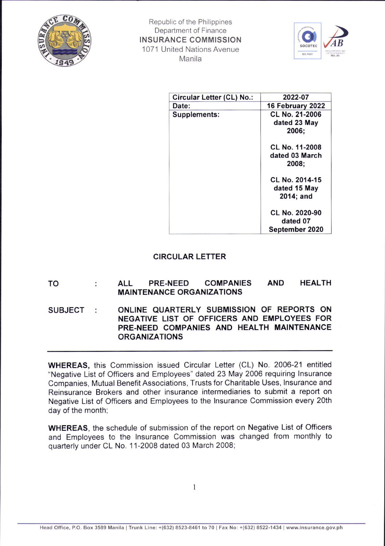



| Circular Letter (CL) No.: | 2022-07                                        |
|---------------------------|------------------------------------------------|
| Date:                     | 16 February 2022                               |
| Supplements:              | CL No. 21-2006<br>dated 23 May<br>2006;        |
|                           | CL No. 11-2008<br>dated 03 March<br>2008;      |
|                           | CL No. 2014-15<br>dated 15 May<br>$2014$ ; and |
|                           | CL No. 2020-90<br>dated 07<br>September 2020   |

## CIRCULAR LETTER

## TO ALL PRE-NEED COMPANIES MAINTENANCE ORGANIZATIONS AND HEALTH

SUBJECT : ONLINE QUARTERLY SUBMISSION OF REPORTS ON NEGATIVE LIST OF OFFICERS AND EMPLOYEES FOR PRE-NEED COMPANIES AND HEALTH MAINTENANCE ORGANIZATIONS

WHEREAS, this Commission issued Circular Letter (CL) No. 2006-21 entitled "Negative List of Officers and Employees" dated 23 May 2006 requiring lnsurance Companies, Mutual Benefit Associations, Trusts for Charitable Uses, lnsurance and Reinsurance Brokers and other insurance intermediaries to submit a report on Negative List of Officers and Employees to the lnsurance Commission every 20th day of the month;

WHEREAS, the schedule of submission of the report on Negative List of Officers and Employees to the lnsurance Commission was changed from monthly to quarterly under CL No. 11-2008 dated 03 March 2008;